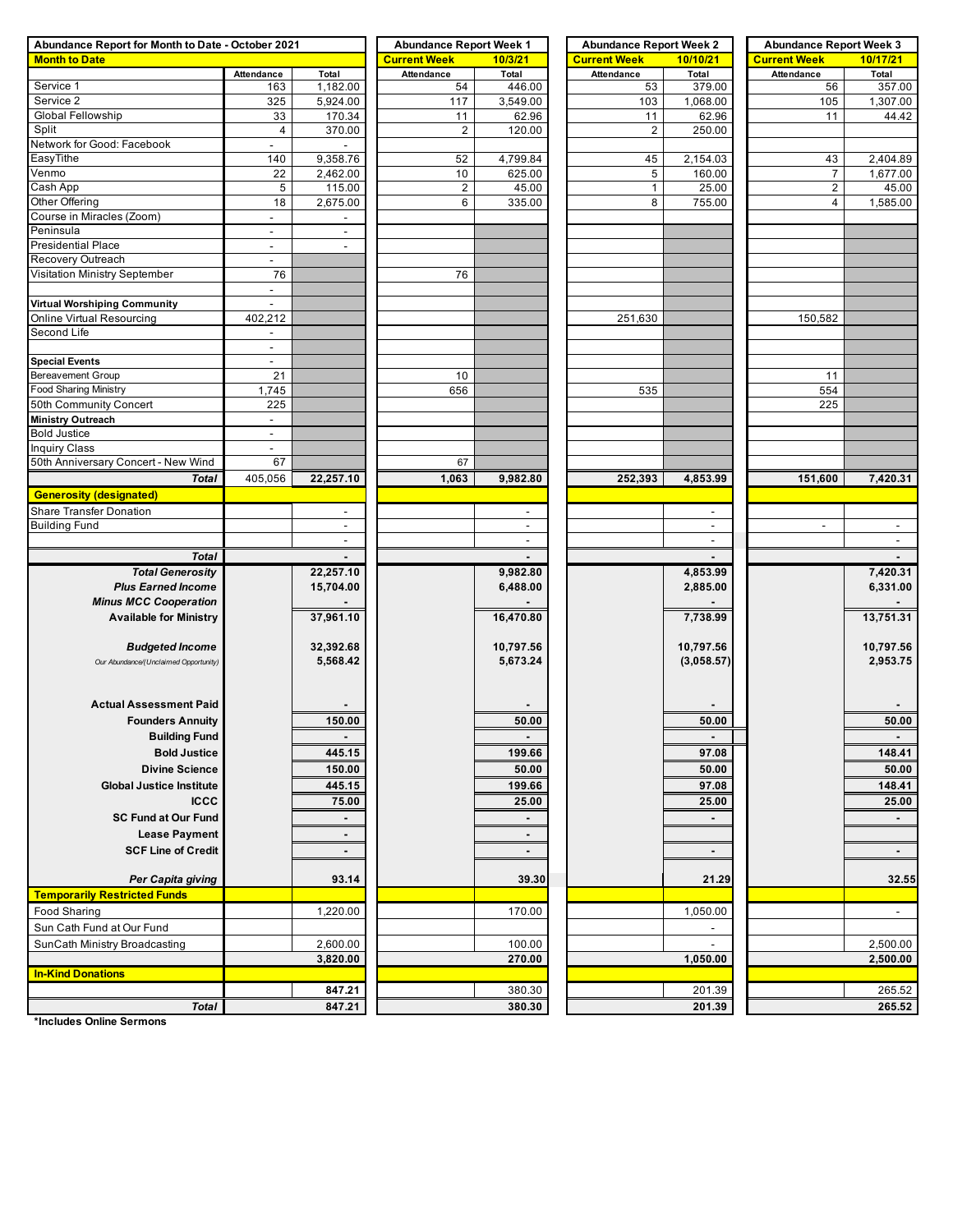| Abundance Report for Month to Date - October 2021 | <b>Abundance Report Week 1</b> |                          | <b>Abundance Report Week 2</b> |                | <b>Abundance Report Week 3</b> |                |                          |                          |  |
|---------------------------------------------------|--------------------------------|--------------------------|--------------------------------|----------------|--------------------------------|----------------|--------------------------|--------------------------|--|
| <b>Month to Date</b>                              |                                |                          | <b>Current Week</b>            | 10/3/21        | <b>Current Week</b>            | 10/10/21       | <b>Current Week</b>      | 10/17/21                 |  |
|                                                   | Attendance                     | Total                    | <b>Attendance</b>              | Total          | <b>Attendance</b>              | Total          | Attendance               | Total                    |  |
| Service 1                                         | 163                            | 1,182.00                 | 54                             | 446.00         | 53                             | 379.00         | 56                       | 357.00                   |  |
| Service 2                                         | 325                            | 5,924.00                 | 117                            | 3,549.00       | 103                            | 1,068.00       | 105                      | 1,307.00                 |  |
| Global Fellowship                                 | 33                             | 170.34                   | 11                             | 62.96          | 11                             | 62.96          | 11                       | 44.42                    |  |
| Split                                             | 4                              | 370.00                   | $\overline{c}$                 | 120.00         | $\overline{c}$                 | 250.00         |                          |                          |  |
| Network for Good: Facebook                        | $\mathbf{r}$                   |                          |                                |                |                                |                |                          |                          |  |
| EasyTithe                                         | 140                            | 9,358.76                 | 52                             | 4,799.84       | 45                             | 2,154.03       | 43                       | 2,404.89                 |  |
| Venmo                                             | 22                             | 2,462.00                 | 10                             | 625.00         | 5                              | 160.00         | $\overline{7}$           | 1,677.00                 |  |
| Cash App                                          | 5                              | 115.00                   | $\overline{c}$                 | 45.00          | $\mathbf{1}$                   | 25.00          | $\overline{2}$           | 45.00                    |  |
| Other Offering                                    | 18                             | 2,675.00                 | 6                              | 335.00         | 8                              | 755.00         | 4                        | 1,585.00                 |  |
| Course in Miracles (Zoom)                         | $\blacksquare$                 | $\overline{\phantom{a}}$ |                                |                |                                |                |                          |                          |  |
| Peninsula                                         | $\overline{\phantom{a}}$       | $\overline{\phantom{a}}$ |                                |                |                                |                |                          |                          |  |
| <b>Presidential Place</b>                         | $\blacksquare$                 | $\blacksquare$           |                                |                |                                |                |                          |                          |  |
| Recovery Outreach                                 | $\blacksquare$                 |                          |                                |                |                                |                |                          |                          |  |
| Visitation Ministry September                     | 76                             |                          | 76                             |                |                                |                |                          |                          |  |
|                                                   | $\overline{\phantom{a}}$       |                          |                                |                |                                |                |                          |                          |  |
| Virtual Worshiping Community                      | $\blacksquare$                 |                          |                                |                |                                |                |                          |                          |  |
| Online Virtual Resourcing                         | 402,212                        |                          |                                |                | 251,630                        |                | 150,582                  |                          |  |
| Second Life                                       | $\overline{\phantom{a}}$       |                          |                                |                |                                |                |                          |                          |  |
|                                                   | $\blacksquare$                 |                          |                                |                |                                |                |                          |                          |  |
| <b>Special Events</b>                             | $\blacksquare$                 |                          |                                |                |                                |                |                          |                          |  |
| <b>Bereavement Group</b>                          | 21                             |                          | 10                             |                |                                |                | 11                       |                          |  |
| <b>Food Sharing Ministry</b>                      | 1,745                          |                          | 656                            |                | 535                            |                | 554                      |                          |  |
| 50th Community Concert                            | 225                            |                          |                                |                |                                |                | 225                      |                          |  |
| Ministry Outreach                                 | $\blacksquare$                 |                          |                                |                |                                |                |                          |                          |  |
| <b>Bold Justice</b>                               | $\overline{\phantom{a}}$       |                          |                                |                |                                |                |                          |                          |  |
| <b>Inquiry Class</b>                              | $\sim$                         |                          |                                |                |                                |                |                          |                          |  |
| 50th Anniversary Concert - New Wind               | 67                             |                          | 67                             |                |                                |                |                          |                          |  |
| <b>Total</b>                                      | 405,056                        | 22,257.10                | 1,063                          | 9,982.80       | 252,393                        | 4,853.99       | 151,600                  | 7,420.31                 |  |
| <b>Generosity (designated)</b>                    |                                |                          |                                |                |                                |                |                          |                          |  |
| Share Transfer Donation                           |                                |                          |                                |                |                                | $\blacksquare$ |                          |                          |  |
| <b>Building Fund</b>                              |                                | $\sim$                   |                                | $\sim$         |                                | $\sim$         | $\overline{\phantom{a}}$ | $\overline{\phantom{a}}$ |  |
|                                                   |                                | $\overline{\phantom{a}}$ |                                | $\sim$         |                                | $\mathbf{r}$   |                          | $\sim$                   |  |
| <b>Total</b>                                      |                                |                          |                                |                |                                |                |                          |                          |  |
| <b>Total Generosity</b>                           |                                | 22,257.10                |                                | 9,982.80       |                                | 4,853.99       |                          | 7,420.31                 |  |
| <b>Plus Earned Income</b>                         |                                | 15,704.00                |                                | 6,488.00       |                                | 2,885.00       |                          | 6,331.00                 |  |
| <b>Minus MCC Cooperation</b>                      |                                |                          |                                |                |                                |                |                          |                          |  |
| <b>Available for Ministry</b>                     |                                | 37,961.10                |                                | 16,470.80      |                                | 7,738.99       |                          | 13,751.31                |  |
|                                                   |                                |                          |                                |                |                                |                |                          |                          |  |
| <b>Budgeted Income</b>                            |                                | 32,392.68                |                                | 10,797.56      |                                | 10,797.56      |                          | 10,797.56                |  |
| Our Abundance/(Unclaimed Opportunity)             |                                | 5,568.42                 |                                | 5,673.24       |                                | (3,058.57)     |                          | 2,953.75                 |  |
|                                                   |                                |                          |                                |                |                                |                |                          |                          |  |
|                                                   |                                |                          |                                |                |                                |                |                          |                          |  |
| <b>Actual Assessment Paid</b>                     |                                |                          |                                |                |                                |                |                          |                          |  |
| <b>Founders Annuity</b>                           |                                | 150.00                   |                                | 50.00          |                                | 50.00          |                          | 50.00                    |  |
|                                                   |                                |                          |                                |                |                                | $\blacksquare$ |                          |                          |  |
| <b>Building Fund</b>                              |                                | $\blacksquare$           |                                |                |                                |                |                          | $\blacksquare$           |  |
| <b>Bold Justice</b>                               |                                | 445.15                   |                                | 199.66         |                                | 97.08          |                          | 148.41                   |  |
| <b>Divine Science</b>                             |                                | 150.00                   |                                | 50.00          |                                | 50.00          |                          | 50.00                    |  |
| <b>Global Justice Institute</b>                   |                                | 445.15                   |                                | 199.66         |                                | 97.08          |                          | 148.41                   |  |
| <b>ICCC</b>                                       |                                | 75.00                    |                                | 25.00          |                                | 25.00          |                          | 25.00                    |  |
| <b>SC Fund at Our Fund</b>                        |                                |                          |                                |                |                                |                |                          |                          |  |
| <b>Lease Payment</b>                              |                                | $\blacksquare$           |                                | $\blacksquare$ |                                |                |                          |                          |  |
| <b>SCF Line of Credit</b>                         |                                | $\blacksquare$           |                                | $\blacksquare$ |                                | $\blacksquare$ |                          | $\blacksquare$           |  |
|                                                   |                                |                          |                                |                |                                |                |                          |                          |  |
| Per Capita giving                                 |                                | 93.14                    |                                | 39.30          |                                | 21.29          |                          | 32.55                    |  |
| <b>Temporarily Restricted Funds</b>               |                                |                          |                                |                |                                |                |                          |                          |  |
|                                                   |                                |                          |                                |                |                                |                |                          |                          |  |
| Food Sharing                                      |                                | 1,220.00                 |                                | 170.00         |                                | 1,050.00       |                          | $\blacksquare$           |  |
| Sun Cath Fund at Our Fund                         |                                |                          |                                |                |                                |                |                          |                          |  |
| SunCath Ministry Broadcasting                     |                                | 2,600.00                 |                                | 100.00         |                                |                |                          | 2,500.00                 |  |
|                                                   |                                | 3,820.00                 |                                | 270.00         |                                | 1,050.00       |                          | 2,500.00                 |  |
| <b>In-Kind Donations</b>                          |                                |                          |                                |                |                                |                |                          |                          |  |
|                                                   |                                | 847.21                   |                                | 380.30         |                                | 201.39         |                          | 265.52                   |  |
| <b>Total</b>                                      |                                | 847.21                   |                                | 380.30         |                                | 201.39         |                          | 265.52                   |  |

**\*Includes Online Sermons**